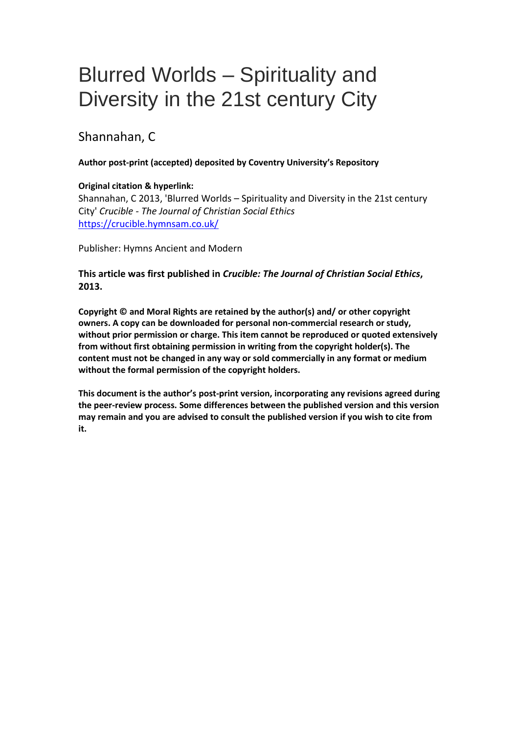# Blurred Worlds – Spirituality and Diversity in the 21st century City

# Shannahan, C

#### **Author post-print (accepted) deposited by Coventry University's Repository**

#### **Original citation & hyperlink:**

Shannahan, C 2013, 'Blurred Worlds – Spirituality and Diversity in the 21st century City' *Crucible - The Journal of Christian Social Ethics* <https://crucible.hymnsam.co.uk/>

Publisher: Hymns Ancient and Modern

### **This article was first published in** *Crucible: The Journal of Christian Social Ethics***, 2013.**

**Copyright © and Moral Rights are retained by the author(s) and/ or other copyright owners. A copy can be downloaded for personal non-commercial research or study, without prior permission or charge. This item cannot be reproduced or quoted extensively from without first obtaining permission in writing from the copyright holder(s). The content must not be changed in any way or sold commercially in any format or medium without the formal permission of the copyright holders.** 

**This document is the author's post-print version, incorporating any revisions agreed during the peer-review process. Some differences between the published version and this version may remain and you are advised to consult the published version if you wish to cite from it.**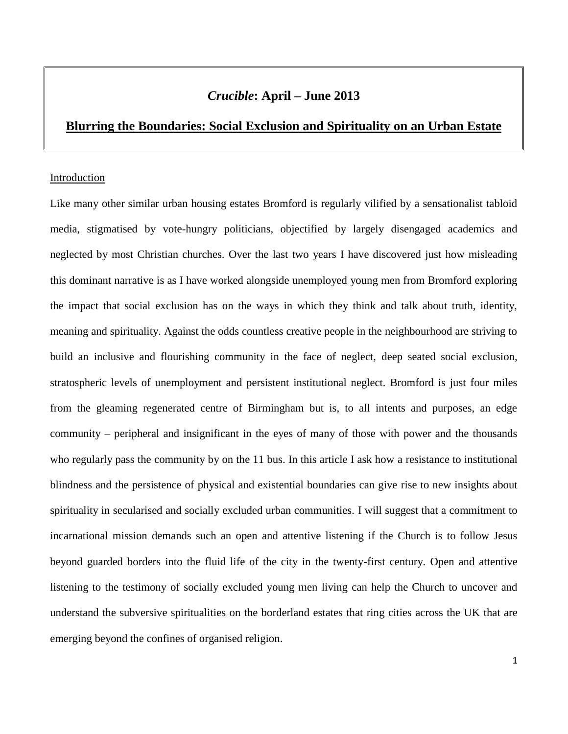# *Crucible***: April – June 2013**

## **Blurring the Boundaries: Social Exclusion and Spirituality on an Urban Estate**

#### Introduction

Like many other similar urban housing estates Bromford is regularly vilified by a sensationalist tabloid media, stigmatised by vote-hungry politicians, objectified by largely disengaged academics and neglected by most Christian churches. Over the last two years I have discovered just how misleading this dominant narrative is as I have worked alongside unemployed young men from Bromford exploring the impact that social exclusion has on the ways in which they think and talk about truth, identity, meaning and spirituality. Against the odds countless creative people in the neighbourhood are striving to build an inclusive and flourishing community in the face of neglect, deep seated social exclusion, stratospheric levels of unemployment and persistent institutional neglect. Bromford is just four miles from the gleaming regenerated centre of Birmingham but is, to all intents and purposes, an edge community – peripheral and insignificant in the eyes of many of those with power and the thousands who regularly pass the community by on the 11 bus. In this article I ask how a resistance to institutional blindness and the persistence of physical and existential boundaries can give rise to new insights about spirituality in secularised and socially excluded urban communities. I will suggest that a commitment to incarnational mission demands such an open and attentive listening if the Church is to follow Jesus beyond guarded borders into the fluid life of the city in the twenty-first century. Open and attentive listening to the testimony of socially excluded young men living can help the Church to uncover and understand the subversive spiritualities on the borderland estates that ring cities across the UK that are emerging beyond the confines of organised religion.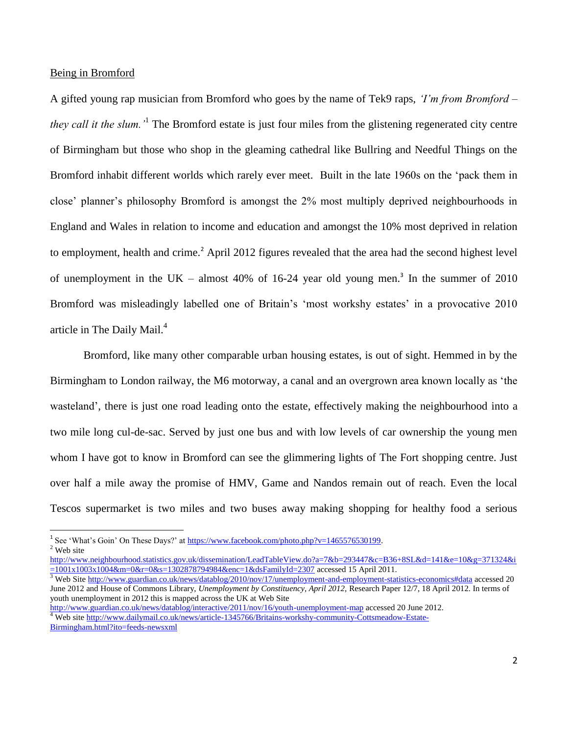Being in Bromford

 $\overline{\phantom{a}}$ 

A gifted young rap musician from Bromford who goes by the name of Tek9 raps, *'I'm from Bromford – they call it the slum.'*<sup>1</sup> The Bromford estate is just four miles from the glistening regenerated city centre of Birmingham but those who shop in the gleaming cathedral like Bullring and Needful Things on the Bromford inhabit different worlds which rarely ever meet. Built in the late 1960s on the 'pack them in close' planner's philosophy Bromford is amongst the 2% most multiply deprived neighbourhoods in England and Wales in relation to income and education and amongst the 10% most deprived in relation to employment, health and crime.<sup>2</sup> April 2012 figures revealed that the area had the second highest level of unemployment in the UK – almost  $40\%$  of 16-24 year old young men.<sup>3</sup> In the summer of 2010 Bromford was misleadingly labelled one of Britain's 'most workshy estates' in a provocative 2010 article in The Daily Mail.<sup>4</sup>

Bromford, like many other comparable urban housing estates, is out of sight. Hemmed in by the Birmingham to London railway, the M6 motorway, a canal and an overgrown area known locally as 'the wasteland', there is just one road leading onto the estate, effectively making the neighbourhood into a two mile long cul-de-sac. Served by just one bus and with low levels of car ownership the young men whom I have got to know in Bromford can see the glimmering lights of The Fort shopping centre. Just over half a mile away the promise of HMV, Game and Nandos remain out of reach. Even the local Tescos supermarket is two miles and two buses away making shopping for healthy food a serious

<sup>&</sup>lt;sup>1</sup> See 'What's Goin' On These Days?' at  $\frac{https://www.facebook.com/photo.php?v=1465576530199}{https://www.facebook.com/photo.php?v=1465576530199}.$ <sup>2</sup> Web site

[http://www.neighbourhood.statistics.gov.uk/dissemination/LeadTableView.do?a=7&b=293447&c=B36+8SL&d=141&e=10&g=371324&i](http://www.neighbourhood.statistics.gov.uk/dissemination/LeadTableView.do?a=7&b=293447&c=B36+8SL&d=141&e=10&g=371324&i=1001x1003x1004&m=0&r=0&s=1302878794984&enc=1&dsFamilyId=2307)  $=1001x1003x1004$ &m=0&r=0&s=1302878794984&enc=1&dsFamilyId=2307 accessed 15 April 2011.

<sup>&</sup>lt;sup>3</sup> Web Sit[e http://www.guardian.co.uk/news/datablog/2010/nov/17/unemployment-and-employment-statistics-economics#data](http://www.guardian.co.uk/news/datablog/2010/nov/17/unemployment-and-employment-statistics-economics#data) accessed 20 June 2012 and House of Commons Library, *Unemployment by Constituency, April 2012,* Research Paper 12/7, 18 April 2012. In terms of youth unemployment in 2012 this is mapped across the UK at Web Site

<http://www.guardian.co.uk/news/datablog/interactive/2011/nov/16/youth-unemployment-map> accessed 20 June 2012.

<sup>&</sup>lt;sup>4</sup> Web site [http://www.dailymail.co.uk/news/article-1345766/Britains-workshy-community-Cottsmeadow-Estate-](http://www.dailymail.co.uk/news/article-1345766/Britains-workshy-community-Cottsmeadow-Estate-Birmingham.html?ito=feeds-newsxml)[Birmingham.html?ito=feeds-newsxml](http://www.dailymail.co.uk/news/article-1345766/Britains-workshy-community-Cottsmeadow-Estate-Birmingham.html?ito=feeds-newsxml)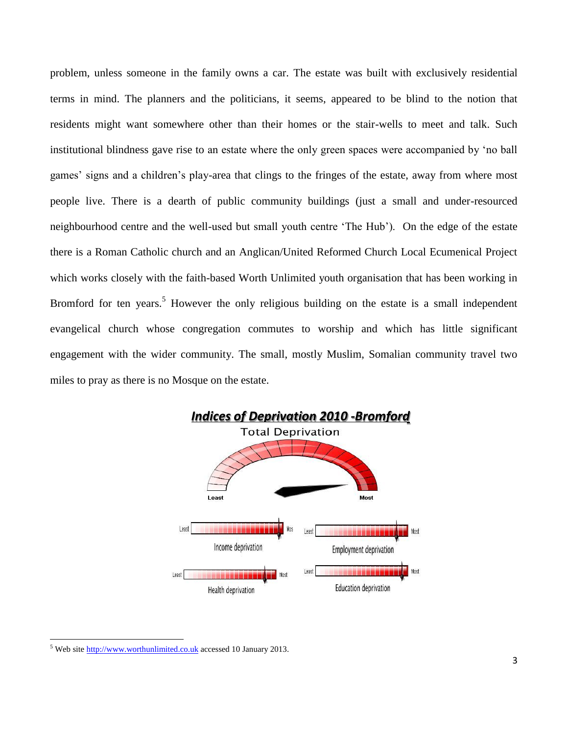problem, unless someone in the family owns a car. The estate was built with exclusively residential terms in mind. The planners and the politicians, it seems, appeared to be blind to the notion that residents might want somewhere other than their homes or the stair-wells to meet and talk. Such institutional blindness gave rise to an estate where the only green spaces were accompanied by 'no ball games' signs and a children's play-area that clings to the fringes of the estate, away from where most people live. There is a dearth of public community buildings (just a small and under-resourced neighbourhood centre and the well-used but small youth centre 'The Hub'). On the edge of the estate there is a Roman Catholic church and an Anglican/United Reformed Church Local Ecumenical Project which works closely with the faith-based Worth Unlimited youth organisation that has been working in Bromford for ten years.<sup>5</sup> However the only religious building on the estate is a small independent evangelical church whose congregation commutes to worship and which has little significant engagement with the wider community. The small, mostly Muslim, Somalian community travel two miles to pray as there is no Mosque on the estate.



<sup>&</sup>lt;sup>5</sup> Web site [http://www.worthunlimited.co.uk](http://www.worthunlimited.co.uk/) accessed 10 January 2013.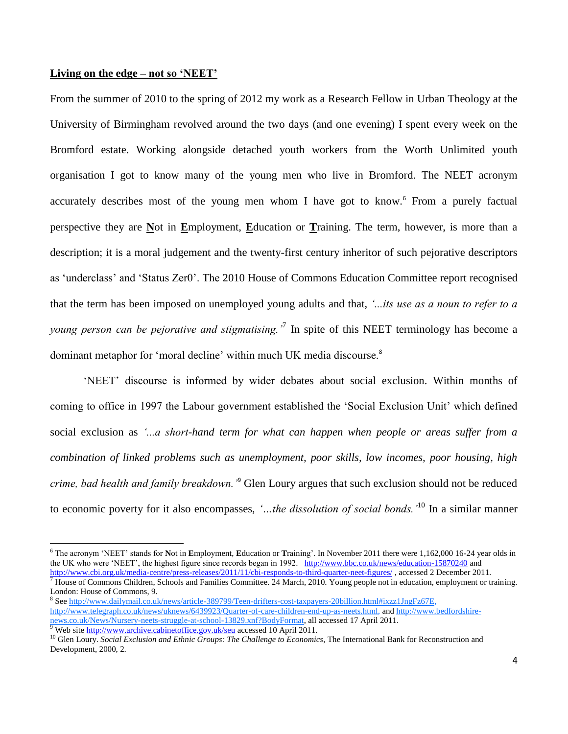#### **Living on the edge – not so 'NEET'**

From the summer of 2010 to the spring of 2012 my work as a Research Fellow in Urban Theology at the University of Birmingham revolved around the two days (and one evening) I spent every week on the Bromford estate. Working alongside detached youth workers from the Worth Unlimited youth organisation I got to know many of the young men who live in Bromford. The NEET acronym accurately describes most of the young men whom I have got to know.<sup>6</sup> From a purely factual perspective they are **N**ot in **E**mployment, **E**ducation or **T**raining. The term, however, is more than a description; it is a moral judgement and the twenty-first century inheritor of such pejorative descriptors as 'underclass' and 'Status Zer0'. The 2010 House of Commons Education Committee report recognised that the term has been imposed on unemployed young adults and that, *'...its use as a noun to refer to a young person can be pejorative and stigmatising.'*<sup>7</sup> In spite of this NEET terminology has become a dominant metaphor for 'moral decline' within much UK media discourse.<sup>8</sup>

'NEET' discourse is informed by wider debates about social exclusion. Within months of coming to office in 1997 the Labour government established the 'Social Exclusion Unit' which defined social exclusion as *'...a short-hand term for what can happen when people or areas suffer from a combination of linked problems such as unemployment, poor skills, low incomes, poor housing, high crime, bad health and family breakdown.'*<sup>9</sup> Glen Loury argues that such exclusion should not be reduced to economic poverty for it also encompasses, *'…the dissolution of social bonds.'*<sup>10</sup> In a similar manner

<sup>6</sup> The acronym 'NEET' stands for **N**ot in **E**mployment, **E**ducation or **T**raining'. In November 2011 there were 1,162,000 16-24 year olds in the UK who were 'NEET', the highest figure since records began in 1992. <http://www.bbc.co.uk/news/education-15870240> and <http://www.cbi.org.uk/media-centre/press-releases/2011/11/cbi-responds-to-third-quarter-neet-figures/> , accessed 2 December 2011.

House of Commons Children, Schools and Families Committee. 24 March, 2010. Young people not in education, employment or training. London: House of Commons, 9.

<sup>8</sup> Se[e http://www.dailymail.co.uk/news/article-389799/Teen-drifters-cost-taxpayers-20billion.html#ixzz1JngFz67E,](http://www.dailymail.co.uk/news/article-389799/Teen-drifters-cost-taxpayers-20billion.html#ixzz1JngFz67E)  [http://www.telegraph.co.uk/news/uknews/6439923/Quarter-of-care-children-end-up-as-neets.html,](http://www.telegraph.co.uk/news/uknews/6439923/Quarter-of-care-children-end-up-as-neets.html) and [http://www.bedfordshire](http://www.bedfordshire-news.co.uk/News/Nursery-neets-struggle-at-school-13829.xnf?BodyFormat)[news.co.uk/News/Nursery-neets-struggle-at-school-13829.xnf?BodyFormat,](http://www.bedfordshire-news.co.uk/News/Nursery-neets-struggle-at-school-13829.xnf?BodyFormat) all accessed 17 April 2011. Web site<http://www.archive.cabinetoffice.gov.uk/seu> accessed 10 April 2011.

<sup>&</sup>lt;sup>10</sup> Glen Loury. *Social Exclusion and Ethnic Groups: The Challenge to Economics*, The International Bank for Reconstruction and

Development, 2000, 2.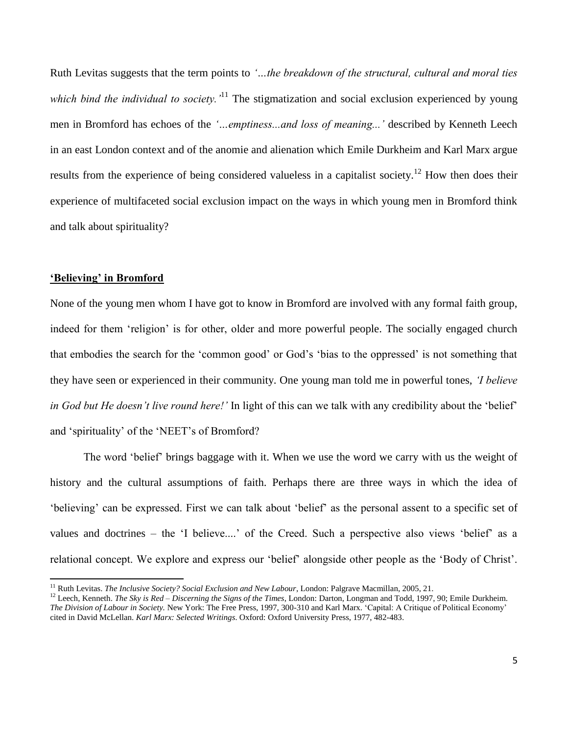Ruth Levitas suggests that the term points to *'…the breakdown of the structural, cultural and moral ties which bind the individual to society.*<sup>11</sup> The stigmatization and social exclusion experienced by young men in Bromford has echoes of the *'…emptiness...and loss of meaning...'* described by Kenneth Leech in an east London context and of the anomie and alienation which Emile Durkheim and Karl Marx argue results from the experience of being considered valueless in a capitalist society.<sup>12</sup> How then does their experience of multifaceted social exclusion impact on the ways in which young men in Bromford think and talk about spirituality?

#### **'Believing' in Bromford**

l

None of the young men whom I have got to know in Bromford are involved with any formal faith group, indeed for them 'religion' is for other, older and more powerful people. The socially engaged church that embodies the search for the 'common good' or God's 'bias to the oppressed' is not something that they have seen or experienced in their community. One young man told me in powerful tones, *'I believe in God but He doesn't live round here!'* In light of this can we talk with any credibility about the 'belief' and 'spirituality' of the 'NEET's of Bromford?

The word 'belief' brings baggage with it. When we use the word we carry with us the weight of history and the cultural assumptions of faith. Perhaps there are three ways in which the idea of 'believing' can be expressed. First we can talk about 'belief' as the personal assent to a specific set of values and doctrines – the 'I believe....' of the Creed. Such a perspective also views 'belief' as a relational concept. We explore and express our 'belief' alongside other people as the 'Body of Christ'.

<sup>11</sup> Ruth Levitas. *The Inclusive Society? Social Exclusion and New Labour*, London: Palgrave Macmillan, 2005, 21.

<sup>&</sup>lt;sup>12</sup> Leech, Kenneth. *The Sky is Red – Discerning the Signs of the Times*, London: Darton, Longman and Todd, 1997, 90; Emile Durkheim. *The Division of Labour in Society.* New York: The Free Press, 1997, 300-310 and Karl Marx. 'Capital: A Critique of Political Economy' cited in David McLellan. *Karl Marx: Selected Writings*. Oxford: Oxford University Press, 1977, 482-483.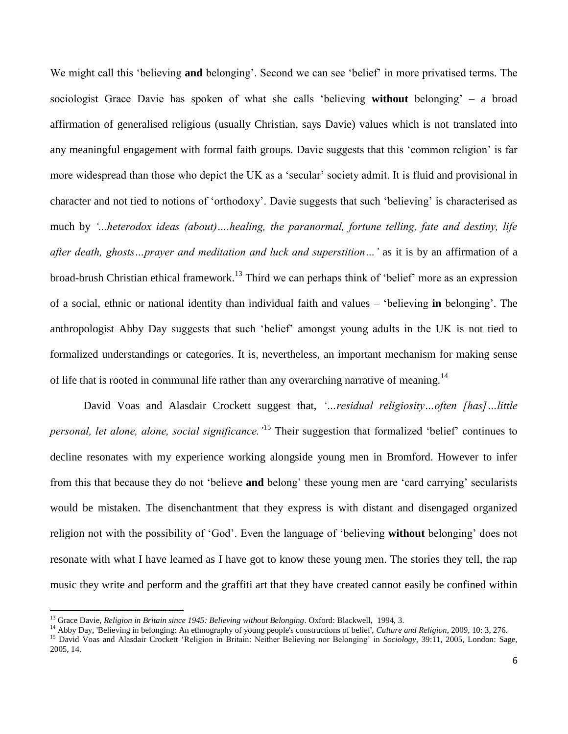We might call this 'believing **and** belonging'. Second we can see 'belief' in more privatised terms. The sociologist Grace Davie has spoken of what she calls 'believing **without** belonging' – a broad affirmation of generalised religious (usually Christian, says Davie) values which is not translated into any meaningful engagement with formal faith groups. Davie suggests that this 'common religion' is far more widespread than those who depict the UK as a 'secular' society admit. It is fluid and provisional in character and not tied to notions of 'orthodoxy'. Davie suggests that such 'believing' is characterised as much by *'...heterodox ideas (about)….healing, the paranormal, fortune telling, fate and destiny, life after death, ghosts…prayer and meditation and luck and superstition…'* as it is by an affirmation of a broad-brush Christian ethical framework.<sup>13</sup> Third we can perhaps think of 'belief' more as an expression of a social, ethnic or national identity than individual faith and values – 'believing **in** belonging'. The anthropologist Abby Day suggests that such 'belief' amongst young adults in the UK is not tied to formalized understandings or categories. It is, nevertheless, an important mechanism for making sense of life that is rooted in communal life rather than any overarching narrative of meaning.<sup>14</sup>

David Voas and Alasdair Crockett suggest that, *'…residual religiosity…often [has]…little personal, let alone, alone, social significance.'*<sup>15</sup> Their suggestion that formalized 'belief' continues to decline resonates with my experience working alongside young men in Bromford. However to infer from this that because they do not 'believe **and** belong' these young men are 'card carrying' secularists would be mistaken. The disenchantment that they express is with distant and disengaged organized religion not with the possibility of 'God'. Even the language of 'believing **without** belonging' does not resonate with what I have learned as I have got to know these young men. The stories they tell, the rap music they write and perform and the graffiti art that they have created cannot easily be confined within

<sup>&</sup>lt;sup>13</sup> Grace Davie, *Religion in Britain since 1945: Believing without Belonging*. Oxford: Blackwell, 1994, 3.

<sup>&</sup>lt;sup>14</sup> Abby Day, 'Believing in belonging: An ethnography of young people's constructions of belief', *Culture and Religion*, 2009, 10: 3, 276.

<sup>&</sup>lt;sup>15</sup> David Voas and Alasdair Crockett 'Religion in Britain: Neither Believing nor Belonging' in *Sociology*, 39:11, 2005, London: Sage, 2005, 14.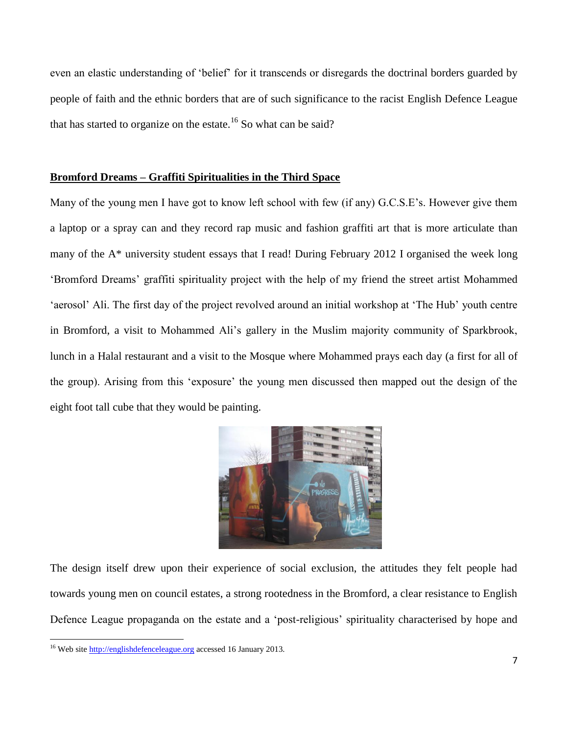even an elastic understanding of 'belief' for it transcends or disregards the doctrinal borders guarded by people of faith and the ethnic borders that are of such significance to the racist English Defence League that has started to organize on the estate.<sup>16</sup> So what can be said?

#### **Bromford Dreams – Graffiti Spiritualities in the Third Space**

Many of the young men I have got to know left school with few (if any) G.C.S.E's. However give them a laptop or a spray can and they record rap music and fashion graffiti art that is more articulate than many of the A\* university student essays that I read! During February 2012 I organised the week long 'Bromford Dreams' graffiti spirituality project with the help of my friend the street artist Mohammed 'aerosol' Ali. The first day of the project revolved around an initial workshop at 'The Hub' youth centre in Bromford, a visit to Mohammed Ali's gallery in the Muslim majority community of Sparkbrook, lunch in a Halal restaurant and a visit to the Mosque where Mohammed prays each day (a first for all of the group). Arising from this 'exposure' the young men discussed then mapped out the design of the eight foot tall cube that they would be painting.



The design itself drew upon their experience of social exclusion, the attitudes they felt people had towards young men on council estates, a strong rootedness in the Bromford, a clear resistance to English Defence League propaganda on the estate and a 'post-religious' spirituality characterised by hope and

<sup>&</sup>lt;sup>16</sup> Web site [http://englishdefenceleague.org](http://englishdefenceleague.org/) accessed 16 January 2013.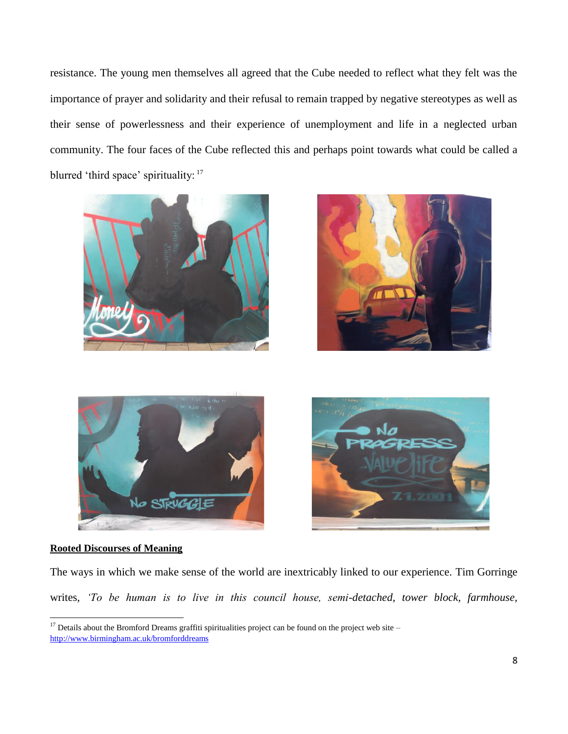resistance. The young men themselves all agreed that the Cube needed to reflect what they felt was the importance of prayer and solidarity and their refusal to remain trapped by negative stereotypes as well as their sense of powerlessness and their experience of unemployment and life in a neglected urban community. The four faces of the Cube reflected this and perhaps point towards what could be called a blurred 'third space' spirituality: <sup>17</sup>









#### **Rooted Discourses of Meaning**

 $\overline{\phantom{a}}$ 

The ways in which we make sense of the world are inextricably linked to our experience. Tim Gorringe writes, *'To be human is to live in this council house, semi-detached, tower block, farmhouse,* 

 $17$  Details about the Bromford Dreams graffiti spiritualities project can be found on the project web site – <http://www.birmingham.ac.uk/bromforddreams>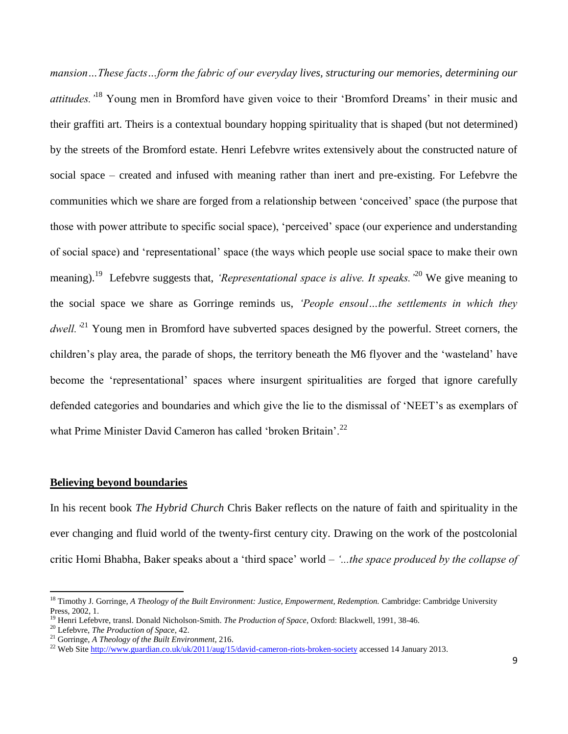*mansion…These facts…form the fabric of our everyday lives, structuring our memories, determining our attitudes.'*<sup>18</sup> Young men in Bromford have given voice to their 'Bromford Dreams' in their music and their graffiti art. Theirs is a contextual boundary hopping spirituality that is shaped (but not determined) by the streets of the Bromford estate. Henri Lefebvre writes extensively about the constructed nature of social space – created and infused with meaning rather than inert and pre-existing. For Lefebvre the communities which we share are forged from a relationship between 'conceived' space (the purpose that those with power attribute to specific social space), 'perceived' space (our experience and understanding of social space) and 'representational' space (the ways which people use social space to make their own meaning).<sup>19</sup> Lefebvre suggests that, *'Representational space is alive. It speaks*.<sup>20</sup> We give meaning to the social space we share as Gorringe reminds us, *'People ensoul…the settlements in which they dwell*.<sup>21</sup> Young men in Bromford have subverted spaces designed by the powerful. Street corners, the children's play area, the parade of shops, the territory beneath the M6 flyover and the 'wasteland' have become the 'representational' spaces where insurgent spiritualities are forged that ignore carefully defended categories and boundaries and which give the lie to the dismissal of 'NEET's as exemplars of what Prime Minister David Cameron has called 'broken Britain'.<sup>22</sup>

#### **Believing beyond boundaries**

In his recent book *The Hybrid Church* Chris Baker reflects on the nature of faith and spirituality in the ever changing and fluid world of the twenty-first century city. Drawing on the work of the postcolonial critic Homi Bhabha, Baker speaks about a 'third space' world – *'...the space produced by the collapse of* 

<sup>&</sup>lt;sup>18</sup> Timothy J. Gorringe, *A Theology of the Built Environment: Justice, Empowerment, Redemption. Cambridge: Cambridge University* Press, 2002, 1.

<sup>19</sup> Henri Lefebvre, transl. Donald Nicholson-Smith. *The Production of Space*, Oxford: Blackwell, 1991, 38-46.

<sup>20</sup> Lefebvre, *The Production of Space*, 42.

<sup>21</sup> Gorringe, *A Theology of the Built Environment*, 216.

<sup>&</sup>lt;sup>22</sup> Web Sit[e http://www.guardian.co.uk/uk/2011/aug/15/david-cameron-riots-broken-society](http://www.guardian.co.uk/uk/2011/aug/15/david-cameron-riots-broken-society) accessed 14 January 2013.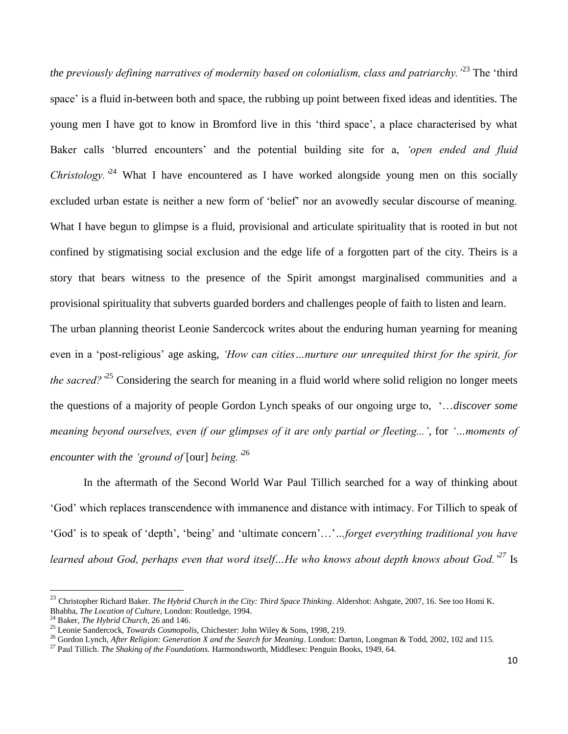*the previously defining narratives of modernity based on colonialism, class and patriarchy.'*<sup>23</sup> The 'third space' is a fluid in-between both and space, the rubbing up point between fixed ideas and identities. The young men I have got to know in Bromford live in this 'third space', a place characterised by what Baker calls 'blurred encounters' and the potential building site for a, *'open ended and fluid Christology.*<sup>24</sup> What I have encountered as I have worked alongside young men on this socially excluded urban estate is neither a new form of 'belief' nor an avowedly secular discourse of meaning. What I have begun to glimpse is a fluid, provisional and articulate spirituality that is rooted in but not confined by stigmatising social exclusion and the edge life of a forgotten part of the city. Theirs is a story that bears witness to the presence of the Spirit amongst marginalised communities and a provisional spirituality that subverts guarded borders and challenges people of faith to listen and learn. The urban planning theorist Leonie Sandercock writes about the enduring human yearning for meaning even in a 'post-religious' age asking, *'How can cities…nurture our unrequited thirst for the spirit, for the sacred?*<sup>25</sup> Considering the search for meaning in a fluid world where solid religion no longer meets the questions of a majority of people Gordon Lynch speaks of our ongoing urge to, '…*discover some meaning beyond ourselves, even if our glimpses of it are only partial or fleeting...'*, for *'…moments of encounter with the 'ground of* [our] *being.'*<sup>26</sup>

In the aftermath of the Second World War Paul Tillich searched for a way of thinking about 'God' which replaces transcendence with immanence and distance with intimacy. For Tillich to speak of 'God' is to speak of 'depth', 'being' and 'ultimate concern'…'*…forget everything traditional you have learned about God, perhaps even that word itself…He who knows about depth knows about God.'<sup>27</sup>* Is

<sup>&</sup>lt;sup>23</sup> Christopher Richard Baker. *The Hybrid Church in the City: Third Space Thinking*. Aldershot: Ashgate, 2007, 16. See too Homi K. Bhabha, *The Location of Culture,* London: Routledge, 1994.

<sup>24</sup> Baker, *The Hybrid Church*, 26 and 146.

<sup>25</sup> Leonie Sandercock, *Towards Cosmopolis*, Chichester: John Wiley & Sons, 1998, 219.

<sup>&</sup>lt;sup>26</sup> Gordon Lynch, *After Religion: Generation X and the Search for Meaning*. London: Darton, Longman & Todd, 2002, 102 and 115.

<sup>27</sup> Paul Tillich. *The Shaking of the Foundations.* Harmondsworth, Middlesex: Penguin Books, 1949, 64.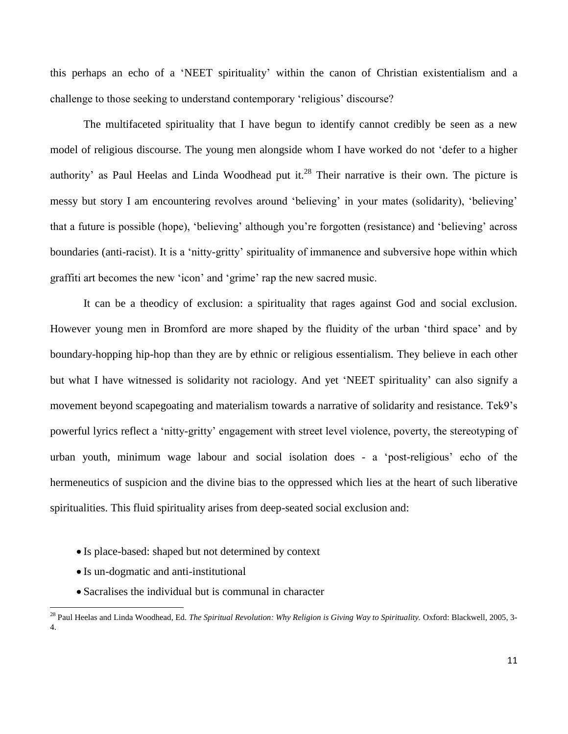this perhaps an echo of a 'NEET spirituality' within the canon of Christian existentialism and a challenge to those seeking to understand contemporary 'religious' discourse?

The multifaceted spirituality that I have begun to identify cannot credibly be seen as a new model of religious discourse. The young men alongside whom I have worked do not 'defer to a higher authority' as Paul Heelas and Linda Woodhead put it.<sup>28</sup> Their narrative is their own. The picture is messy but story I am encountering revolves around 'believing' in your mates (solidarity), 'believing' that a future is possible (hope), 'believing' although you're forgotten (resistance) and 'believing' across boundaries (anti-racist). It is a 'nitty-gritty' spirituality of immanence and subversive hope within which graffiti art becomes the new 'icon' and 'grime' rap the new sacred music.

It can be a theodicy of exclusion: a spirituality that rages against God and social exclusion. However young men in Bromford are more shaped by the fluidity of the urban 'third space' and by boundary-hopping hip-hop than they are by ethnic or religious essentialism. They believe in each other but what I have witnessed is solidarity not raciology. And yet 'NEET spirituality' can also signify a movement beyond scapegoating and materialism towards a narrative of solidarity and resistance. Tek9's powerful lyrics reflect a 'nitty-gritty' engagement with street level violence, poverty, the stereotyping of urban youth, minimum wage labour and social isolation does - a 'post-religious' echo of the hermeneutics of suspicion and the divine bias to the oppressed which lies at the heart of such liberative spiritualities. This fluid spirituality arises from deep-seated social exclusion and:

- Is place-based: shaped but not determined by context
- Is un-dogmatic and anti-institutional

 $\overline{\phantom{a}}$ 

Sacralises the individual but is communal in character

<sup>28</sup> Paul Heelas and Linda Woodhead, Ed. *The Spiritual Revolution: Why Religion is Giving Way to Spirituality.* Oxford: Blackwell, 2005, 3- 4.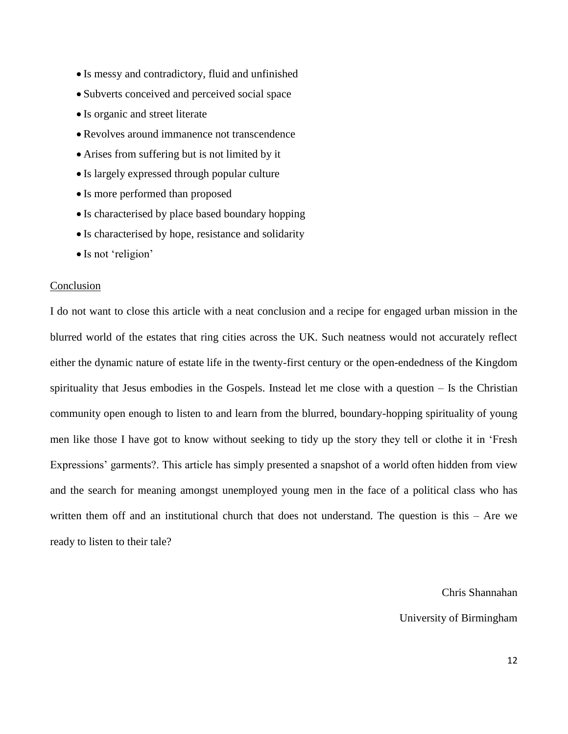- Is messy and contradictory, fluid and unfinished
- Subverts conceived and perceived social space
- Is organic and street literate
- Revolves around immanence not transcendence
- Arises from suffering but is not limited by it
- Is largely expressed through popular culture
- Is more performed than proposed
- Is characterised by place based boundary hopping
- Is characterised by hope, resistance and solidarity
- Is not 'religion'

#### Conclusion

I do not want to close this article with a neat conclusion and a recipe for engaged urban mission in the blurred world of the estates that ring cities across the UK. Such neatness would not accurately reflect either the dynamic nature of estate life in the twenty-first century or the open-endedness of the Kingdom spirituality that Jesus embodies in the Gospels. Instead let me close with a question – Is the Christian community open enough to listen to and learn from the blurred, boundary-hopping spirituality of young men like those I have got to know without seeking to tidy up the story they tell or clothe it in 'Fresh Expressions' garments?. This article has simply presented a snapshot of a world often hidden from view and the search for meaning amongst unemployed young men in the face of a political class who has written them off and an institutional church that does not understand. The question is this – Are we ready to listen to their tale?

Chris Shannahan

University of Birmingham